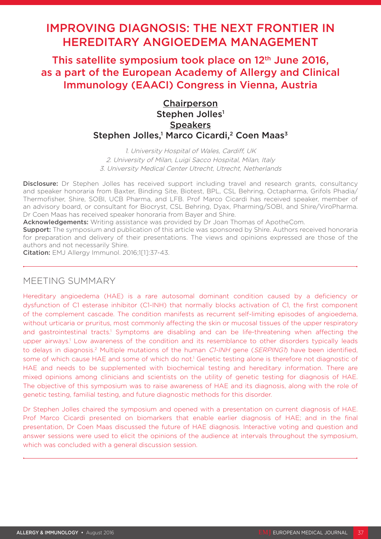# IMPROVING DIAGNOSIS: THE NEXT FRONTIER IN HEREDITARY ANGIOEDEMA MANAGEMENT

This satellite symposium took place on 12<sup>th</sup> June 2016, as a part of the European Academy of Allergy and Clinical Immunology (EAACI) Congress in Vienna, Austria

# **Chairperson** Stephen Jolles<sup>1</sup> **Speakers** Stephen Jolles,<sup>1</sup> Marco Cicardi,<sup>2</sup> Coen Maas<sup>3</sup>

1. University Hospital of Wales, Cardiff, UK 2. University of Milan, Luigi Sacco Hospital, Milan, Italy 3. University Medical Center Utrecht, Utrecht, Netherlands

Disclosure: Dr Stephen Jolles has received support including travel and research grants, consultancy and speaker honoraria from Baxter, Binding Site, Biotest, BPL, CSL Behring, Octapharma, Grifols Phadia/ Thermofisher, Shire, SOBI, UCB Pharma, and LFB. Prof Marco Cicardi has received speaker, member of an advisory board, or consultant for Biocryst, CSL Behring, Dyax, Pharming/SOBI, and Shire/ViroPharma. Dr Coen Maas has received speaker honoraria from Bayer and Shire.

Acknowledgements: Writing assistance was provided by Dr Joan Thomas of ApotheCom.

**Support:** The symposium and publication of this article was sponsored by Shire. Authors received honoraria for preparation and delivery of their presentations. The views and opinions expressed are those of the authors and not necessarily Shire.

Citation: EMJ Allergy Immunol. 2016;1[1]:37-43.

# MEETING SUMMARY

Hereditary angioedema (HAE) is a rare autosomal dominant condition caused by a deficiency or dysfunction of C1 esterase inhibitor (C1-INH) that normally blocks activation of C1, the first component of the complement cascade. The condition manifests as recurrent self-limiting episodes of angioedema, without urticaria or pruritus, most commonly affecting the skin or mucosal tissues of the upper respiratory and gastrointestinal tracts.<sup>1</sup> Symptoms are disabling and can be life-threatening when affecting the upper airways.<sup>1</sup> Low awareness of the condition and its resemblance to other disorders typically leads to delays in diagnosis.<sup>2</sup> Multiple mutations of the human C1-INH gene (SERPING1) have been identified, some of which cause HAE and some of which do not.<sup>1</sup> Genetic testing alone is therefore not diagnostic of HAE and needs to be supplemented with biochemical testing and hereditary information. There are mixed opinions among clinicians and scientists on the utility of genetic testing for diagnosis of HAE. The objective of this symposium was to raise awareness of HAE and its diagnosis, along with the role of genetic testing, familial testing, and future diagnostic methods for this disorder.

Dr Stephen Jolles chaired the symposium and opened with a presentation on current diagnosis of HAE. Prof Marco Cicardi presented on biomarkers that enable earlier diagnosis of HAE; and in the final presentation, Dr Coen Maas discussed the future of HAE diagnosis. Interactive voting and question and answer sessions were used to elicit the opinions of the audience at intervals throughout the symposium, which was concluded with a general discussion session.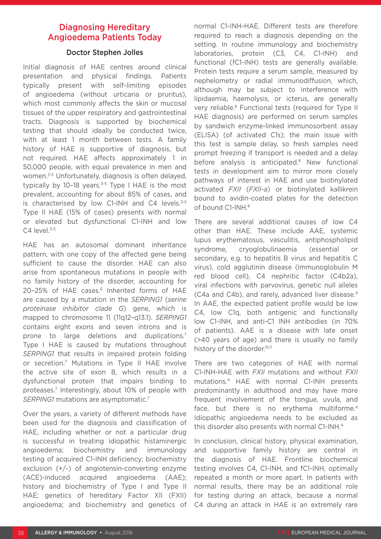# Diagnosing Hereditary Angioedema Patients Today

# Doctor Stephen Jolles

Initial diagnosis of HAE centres around clinical presentation and physical findings. Patients typically present with self-limiting episodes of angioedema (without urticaria or pruritus), which most commonly affects the skin or mucosal tissues of the upper respiratory and gastrointestinal tracts. Diagnosis is supported by biochemical testing that should ideally be conducted twice, with at least 1 month between tests. A family history of HAE is supportive of diagnosis, but not required. HAE affects approximately 1 in 50,000 people, with equal prevalence in men and women.3-5 Unfortunately, diagnosis is often delayed, typically by 10-18 years. $3-5$  Type I HAE is the most prevalent, accounting for about 85% of cases, and is characterised by low C1-INH and C4 levels.<sup>3-5</sup> Type II HAE (15% of cases) presents with normal or elevated but dysfunctional C1-INH and low  $C4$  level.<sup>3-5</sup>

HAE has an autosomal dominant inheritance pattern, with one copy of the affected gene being sufficient to cause the disorder. HAE can also arise from spontaneous mutations in people with no family history of the disorder, accounting for 20-25% of HAE cases.<sup>6</sup> Inherited forms of HAE are caused by a mutation in the *SERPING1* (*serine proteinase inhibitor clade G*) gene, which is mapped to chromosome 11 (11q12–q13.1). *SERPING1* contains eight exons and seven introns and is prone to large deletions and duplications.7 Type I HAE is caused by mutations throughout *SERPING1* that results in impaired protein folding or secretion.7 Mutations in Type II HAE involve the active site of exon 8, which results in a dysfunctional protein that impairs binding to proteases.7 Interestingly, about 10% of people with *SERPING1* mutations are asymptomatic.7

Over the years, a variety of different methods have been used for the diagnosis and classification of HAE, including whether or not a particular drug is successful in treating idiopathic histaminergic angioedema; biochemistry and immunology testing of acquired C1-INH deficiency; biochemistry exclusion (+/-) of angiotensin-converting enzyme (ACE)-induced acquired angioedema (AAE); history and biochemistry of Type I and Type II HAE; genetics of hereditary Factor XII (FXII) angioedema; and biochemistry and genetics of

normal C1-INH-HAE. Different tests are therefore required to reach a diagnosis depending on the setting. In routine immunology and biochemistry laboratories, protein (C3, C4, C1-INH) and functional (fC1-INH) tests are generally available. Protein tests require a serum sample, measured by nephelometry or radial immunodiffusion, which, although may be subject to interference with lipidaemia, haemolysis, or icterus, are generally very reliable.<sup>8</sup> Functional tests (required for Type II HAE diagnosis) are performed on serum samples by sandwich enzyme-linked immunosorbent assay (ELISA) (of activated C1s); the main issue with this test is sample delay, so fresh samples need prompt freezing if transport is needed and a delay before analysis is anticipated.<sup>8</sup> New functional tests in development aim to mirror more closely pathways of interest in HAE and use biotinylated activated *FXII* (*FXII-a*) or biotinylated kallikrein bound to avidin-coated plates for the detection of bound C1-INH.8

There are several additional causes of low C4 other than HAE. These include AAE, systemic lupus erythematosus, vasculitis, antiphospholipid syndrome, cryoglobulinaemia (essential or secondary, e.g. to hepatitis B virus and hepatitis C virus), cold agglutinin disease (Immunoglobulin M red blood cell), C4 nephritic factor (C4b2a), viral infections with parvovirus, genetic null alleles (C4a and C4b), and rarely, advanced liver disease.9 In AAE, the expected patient profile would be low C4, low C1q, both antigenic and functionally low C1-INH, and anti-C1 INH antibodies (in 70% of patients). AAE is a disease with late onset (>40 years of age) and there is usually no family history of the disorder.<sup>10,11</sup>

There are two categories of HAE with normal C1-INH-HAE with *FXII* mutations and without *FXII* mutations.4 HAE with normal C1-INH presents predominantly in adulthood and may have more frequent involvement of the tongue, uvula, and face, but there is no erythema multiforme.<sup>4</sup> Idiopathic angioedema needs to be excluded as this disorder also presents with normal C1-INH.<sup>4</sup>

In conclusion, clinical history, physical examination, and supportive family history are central in the diagnosis of HAE. Frontline biochemical testing involves C4, C1-INH, and fC1-INH, optimally repeated a month or more apart. In patients with normal results, there may be an additional role for testing during an attack, because a normal C4 during an attack in HAE is an extremely rare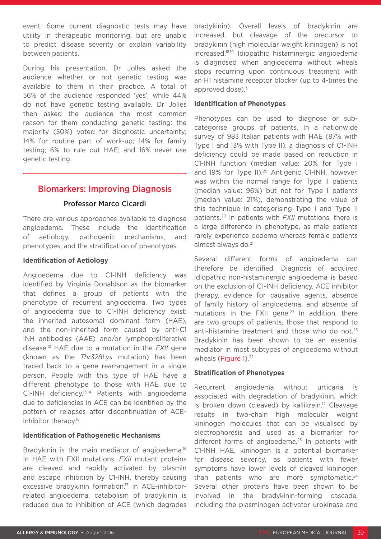event. Some current diagnostic tests may have utility in therapeutic monitoring, but are unable to predict disease severity or explain variability between patients.

During his presentation, Dr Jolles asked the audience whether or not genetic testing was available to them in their practice. A total of 56% of the audience responded 'yes', while 44% do not have genetic testing available. Dr Jolles then asked the audience the most common reason for them conducting genetic testing: the majority (50%) voted for diagnostic uncertainty; 14% for routine part of work-up; 14% for family testing; 6% to rule out HAE; and 16% never use genetic testing.

# Biomarkers: Improving Diagnosis

### Professor Marco Cicardi

There are various approaches available to diagnose angioedema. These include the identification of aetiology, pathogenic mechanisms, and phenotypes, and the stratification of phenotypes.

#### **Identification of Aetiology**

Angioedema due to C1-INH deficiency was identified by Virginia Donaldson as the biomarker that defines a group of patients with the phenotype of recurrent angioedema. Two types of angioedema due to C1-INH deficiency exist: the inherited autosomal dominant form (HAE), and the non-inherited form caused by anti-C1 INH antibodies (AAE) and/or lymphoproliferative disease.12 HAE due to a mutation in the *FXII* gene (known as the *Thr328Lys* mutation) has been traced back to a gene rearrangement in a single person. People with this type of HAE have a different phenotype to those with HAE due to C1-INH deficiency.<sup>13,14</sup> Patients with angioedema due to deficiencies in ACE can be identified by the pattern of relapses after discontinuation of ACEinhibitor therapy.15

#### **Identification of Pathogenetic Mechanisms**

Bradykinin is the main mediator of angioedema.<sup>16</sup> In HAE with FXII mutations, *FXII* mutant proteins are cleaved and rapidly activated by plasmin and escape inhibition by C1-INH, thereby causing excessive bradykinin formation.17 In ACE-inhibitorrelated angioedema, catabolism of bradykinin is reduced due to inhibition of ACE (which degrades

bradykinin). Overall levels of bradykinin are increased, but cleavage of the precursor to bradykinin (high molecular weight kininogen) is not increased.18,19 Idiopathic histaminergic angioedema is diagnosed when angioedema without wheals stops recurring upon continuous treatment with an H1 histamine receptor blocker (up to 4-times the approved dose) $^3$ 

#### **Identification of Phenotypes**

Phenotypes can be used to diagnose or subcategorise groups of patients. In a nationwide survey of 983 Italian patients with HAE (87% with Type I and 13% with Type II), a diagnosis of C1-INH deficiency could be made based on reduction in C1-INH function (median value: 20% for Type I and 19% for Type II).<sup>20</sup> Antigenic C1-INH, however, was within the normal range for Type II patients (median value: 96%) but not for Type I patients (median value: 21%), demonstrating the value of this technique in categorising Type I and Type II patients.20 In patients with *FXII* mutations, there is a large difference in phenotype, as male patients rarely experience oedema whereas female patients almost always do.21

Several different forms of angioedema can therefore be identified. Diagnosis of acquired idiopathic non-histaminergic angioedema is based on the exclusion of C1-INH deficiency, ACE inhibitor therapy, evidence for causative agents, absence of family history of angioedema, and absence of mutations in the FXII gene.<sup>22</sup> In addition, there are two groups of patients, those that respond to anti-histamine treatment and those who do not. $23$ Bradykinin has been shown to be an essential mediator in most subtypes of angioedema without wheals (Figure 1).<sup>22</sup>

#### **Stratification of Phenotypes**

Recurrent angioedema without urticaria is associated with degradation of bradykinin, which is broken down (cleaved) by kallikrein.<sup>12</sup> Cleavage results in two-chain high molecular weight kininogen molecules that can be visualised by electrophoresis and used as a biomarker for different forms of angioedema. $23$  In patients with C1-INH HAE, kininogen is a potential biomarker for disease severity, as patients with fewer symptoms have lower levels of cleaved kininogen than patients who are more symptomatic.<sup>24</sup> Several other proteins have been shown to be involved in the bradykinin-forming cascade, including the plasminogen activator urokinase and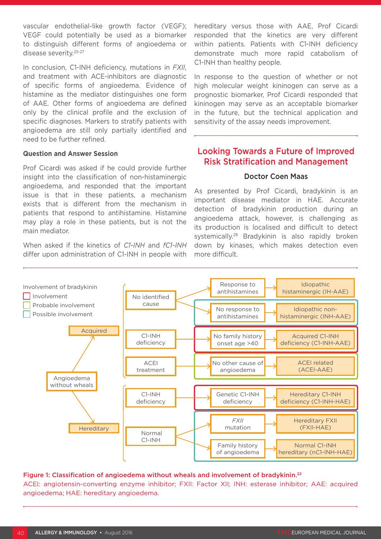vascular endothelial-like growth factor (VEGF); VEGF could potentially be used as a biomarker to distinguish different forms of angioedema or disease severity.25-27

In conclusion, C1-INH deficiency, mutations in *FXII*, and treatment with ACE-inhibitors are diagnostic of specific forms of angioedema. Evidence of histamine as the mediator distinguishes one form of AAE. Other forms of angioedema are defined only by the clinical profile and the exclusion of specific diagnoses. Markers to stratify patients with angioedema are still only partially identified and need to be further refined.

#### **Question and Answer Session**

Prof Cicardi was asked if he could provide further insight into the classification of non-histaminergic angioedema, and responded that the important issue is that in these patients, a mechanism exists that is different from the mechanism in patients that respond to antihistamine. Histamine may play a role in these patients, but is not the main mediator.

When asked if the kinetics of *C1-INH* and *fC1-INH* differ upon administration of C1-INH in people with hereditary versus those with AAE, Prof Cicardi responded that the kinetics are very different within patients. Patients with C1-INH deficiency demonstrate much more rapid catabolism of C1-INH than healthy people.

In response to the question of whether or not high molecular weight kininogen can serve as a prognostic biomarker, Prof Cicardi responded that kininogen may serve as an acceptable biomarker in the future, but the technical application and sensitivity of the assay needs improvement.

# Looking Towards a Future of Improved Risk Stratification and Management

#### Doctor Coen Maas

As presented by Prof Cicardi, bradykinin is an important disease mediator in HAE. Accurate detection of bradykinin production during an angioedema attack, however, is challenging as its production is localised and difficult to detect systemically.28 Bradykinin is also rapidly broken down by kinases, which makes detection even more difficult.



#### Figure 1: Classification of angioedema without wheals and involvement of bradykinin.<sup>22</sup>

ACEI: angiotensin-converting enzyme inhibitor; FXII: Factor XII; INH: esterase inhibitor; AAE: acquired angioedema; HAE: hereditary angioedema.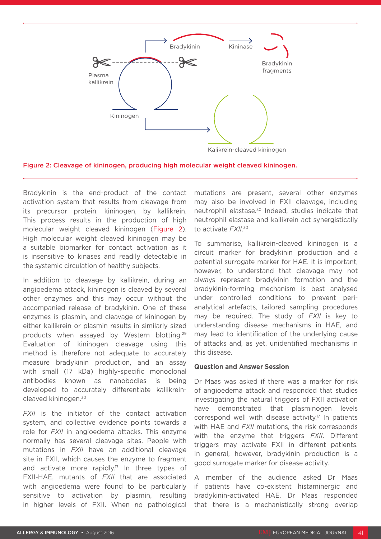

Figure 2: Cleavage of kininogen, producing high molecular weight cleaved kininogen.

Bradykinin is the end-product of the contact activation system that results from cleavage from its precursor protein, kininogen, by kallikrein. This process results in the production of high molecular weight cleaved kininogen (Figure 2). High molecular weight cleaved kininogen may be a suitable biomarker for contact activation as it is insensitive to kinases and readily detectable in the systemic circulation of healthy subjects.

In addition to cleavage by kallikrein, during an angioedema attack, kininogen is cleaved by several other enzymes and this may occur without the accompanied release of bradykinin. One of these enzymes is plasmin, and cleavage of kininogen by either kallikrein or plasmin results in similarly sized products when assayed by Western blotting.29 Evaluation of kininogen cleavage using this method is therefore not adequate to accurately measure bradykinin production, and an assay with small (17 kDa) highly-specific monoclonal antibodies known as nanobodies is being developed to accurately differentiate kallikreincleaved kininogen.30

*FXII* is the initiator of the contact activation system, and collective evidence points towards a role for *FXII* in angioedema attacks. This enzyme normally has several cleavage sites. People with mutations in *FXII* have an additional cleavage site in FXII, which causes the enzyme to fragment and activate more rapidly.<sup>17</sup> In three types of FXII-HAE, mutants of *FXII* that are associated with angioedema were found to be particularly sensitive to activation by plasmin, resulting in higher levels of FXII. When no pathological mutations are present, several other enzymes may also be involved in FXII cleavage, including neutrophil elastase.30 Indeed, studies indicate that neutrophil elastase and kallikrein act synergistically to activate *FXII*. 30

To summarise, kallikrein-cleaved kininogen is a circuit marker for bradykinin production and a potential surrogate marker for HAE. It is important, however, to understand that cleavage may not always represent bradykinin formation and the bradykinin-forming mechanism is best analysed under controlled conditions to prevent perianalytical artefacts, tailored sampling procedures may be required. The study of *FXII* is key to understanding disease mechanisms in HAE, and may lead to identification of the underlying cause of attacks and, as yet, unidentified mechanisms in this disease.

#### **Question and Answer Session**

Dr Maas was asked if there was a marker for risk of angioedema attack and responded that studies investigating the natural triggers of FXII activation have demonstrated that plasminogen levels correspond well with disease activity.17 In patients with HAE and *FXII* mutations, the risk corresponds with the enzyme that triggers *FXII*. Different triggers may activate FXII in different patients. In general, however, bradykinin production is a good surrogate marker for disease activity.

A member of the audience asked Dr Maas if patients have co-existent histaminergic and bradykinin-activated HAE. Dr Maas responded that there is a mechanistically strong overlap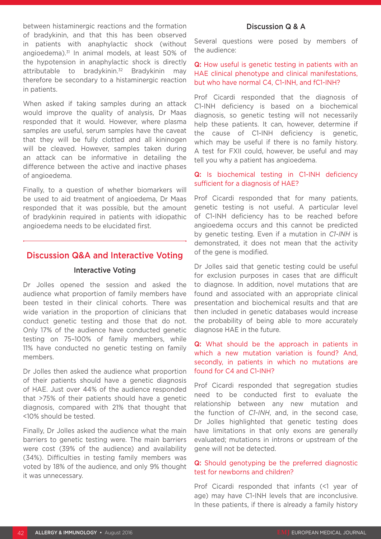between histaminergic reactions and the formation of bradykinin, and that this has been observed in patients with anaphylactic shock (without angioedema).<sup>31</sup> In animal models, at least 50% of the hypotension in anaphylactic shock is directly attributable to bradykinin.<sup>32</sup> Bradykinin may therefore be secondary to a histaminergic reaction in patients.

When asked if taking samples during an attack would improve the quality of analysis, Dr Maas responded that it would. However, where plasma samples are useful, serum samples have the caveat that they will be fully clotted and all kininogen will be cleaved. However, samples taken during an attack can be informative in detailing the difference between the active and inactive phases of angioedema.

Finally, to a question of whether biomarkers will be used to aid treatment of angioedema, Dr Maas responded that it was possible, but the amount of bradykinin required in patients with idiopathic angioedema needs to be elucidated first.

# Discussion Q&A and Interactive Voting

### Interactive Voting

Dr Jolles opened the session and asked the audience what proportion of family members have been tested in their clinical cohorts. There was wide variation in the proportion of clinicians that conduct genetic testing and those that do not. Only 17% of the audience have conducted genetic testing on 75–100% of family members, while 11% have conducted no genetic testing on family members.

Dr Jolles then asked the audience what proportion of their patients should have a genetic diagnosis of HAE. Just over 44% of the audience responded that >75% of their patients should have a genetic diagnosis, compared with 21% that thought that <10% should be tested.

Finally, Dr Jolles asked the audience what the main barriers to genetic testing were. The main barriers were cost (39% of the audience) and availability (34%). Difficulties in testing family members was voted by 18% of the audience, and only 9% thought it was unnecessary.

# Discussion Q & A

Several questions were posed by members of the audience:

Q: How useful is genetic testing in patients with an HAE clinical phenotype and clinical manifestations, but who have normal C4, C1-INH, and fC1-INH?

Prof Cicardi responded that the diagnosis of C1-INH deficiency is based on a biochemical diagnosis, so genetic testing will not necessarily help these patients. It can, however, determine if the cause of C1-INH deficiency is genetic, which may be useful if there is no family history. A test for FXII could, however, be useful and may tell you why a patient has angioedema.

#### Q: Is biochemical testing in C1-INH deficiency sufficient for a diagnosis of HAE?

Prof Cicardi responded that for many patients, genetic testing is not useful. A particular level of C1-INH deficiency has to be reached before angioedema occurs and this cannot be predicted by genetic testing. Even if a mutation in *C1-INH* is demonstrated, it does not mean that the activity of the gene is modified.

Dr Jolles said that genetic testing could be useful for exclusion purposes in cases that are difficult to diagnose. In addition, novel mutations that are found and associated with an appropriate clinical presentation and biochemical results and that are then included in genetic databases would increase the probability of being able to more accurately diagnose HAE in the future.

Q: What should be the approach in patients in which a new mutation variation is found? And, secondly, in patients in which no mutations are found for C4 and C1-INH?

Prof Cicardi responded that segregation studies need to be conducted first to evaluate the relationship between any new mutation and the function of *C1-INH*, and, in the second case, Dr Jolles highlighted that genetic testing does have limitations in that only exons are generally evaluated; mutations in introns or upstream of the gene will not be detected.

#### Q: Should genotyping be the preferred diagnostic test for newborns and children?

Prof Cicardi responded that infants (<1 year of age) may have C1-INH levels that are inconclusive. In these patients, if there is already a family history